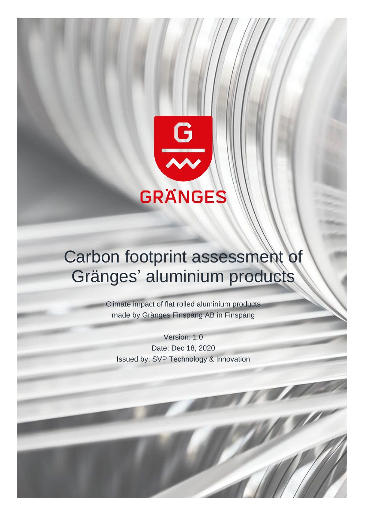

# Carbon footprint assessment Gränges' aluminium products

Climate impact of flat rolled aluminium products made by Gränges Finspång AB in Finspång

Version: 1.0 Date: Dec 18, 2020 Issued by: SVP Technology & Innovation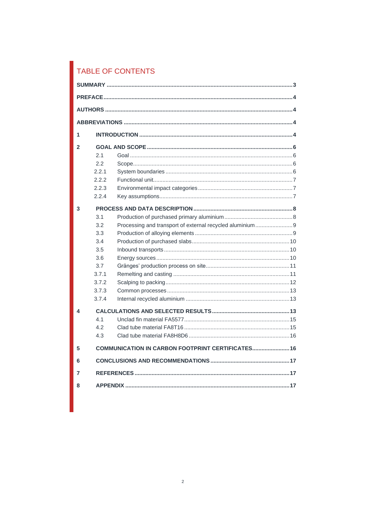# TABLE OF CONTENTS

| 1              |       |                                                          |  |  |
|----------------|-------|----------------------------------------------------------|--|--|
| $\mathfrak{p}$ |       |                                                          |  |  |
|                | 2.1   |                                                          |  |  |
|                | 2.2   |                                                          |  |  |
|                | 2.2.1 |                                                          |  |  |
|                | 2.2.2 |                                                          |  |  |
|                | 2.2.3 |                                                          |  |  |
|                | 2.2.4 |                                                          |  |  |
| 3              |       |                                                          |  |  |
|                | 3.1   |                                                          |  |  |
|                | 3.2   | Processing and transport of external recycled aluminium9 |  |  |
|                | 3.3   |                                                          |  |  |
|                | 3.4   |                                                          |  |  |
|                | 3.5   |                                                          |  |  |
|                | 3.6   |                                                          |  |  |
|                | 3.7   |                                                          |  |  |
|                | 3.7.1 |                                                          |  |  |
|                | 3.7.2 |                                                          |  |  |
|                | 3.7.3 |                                                          |  |  |
|                | 3.7.4 |                                                          |  |  |
| 4              |       |                                                          |  |  |
|                | 4.1   |                                                          |  |  |
|                | 4.2   |                                                          |  |  |
|                | 4.3   |                                                          |  |  |
| 5              |       | <b>COMMUNICATION IN CARBON FOOTPRINT CERTIFICATES 16</b> |  |  |
| 6              |       |                                                          |  |  |
| 7              |       |                                                          |  |  |
| 8              |       |                                                          |  |  |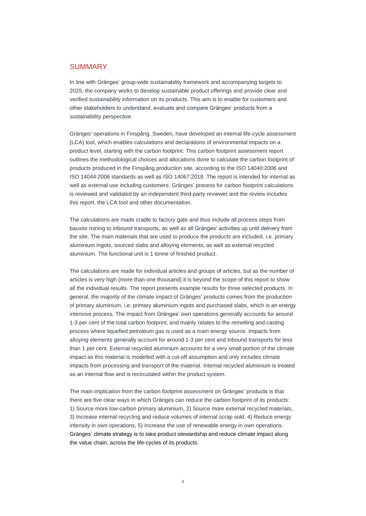#### <span id="page-2-0"></span>**SUMMARY**

In line with Gränges' group-wide sustainability framework and accompanying targets to 2025, the company works to develop sustainable product offerings and provide clear and verified sustainability information on its products. This aim is to enable for customers and other stakeholders to understand, evaluate and compare Gränges' products from a sustainability perspective.

Gränges' operations in Finspång, Sweden, have developed an internal life-cycle assessment (LCA) tool, which enables calculations and declarations of environmental impacts on a product level, starting with the carbon footprint. This carbon footprint assessment report outlines the methodological choices and allocations done to calculate the carbon footprint of products produced in the Finspång production site, according to the ISO 14040:2006 and ISO 14044:2006 standards as well as ISO 14067:2018. The report is intended for internal as well as external use including customers. Gränges' process for carbon footprint calculations is reviewed and validated by an independent third-party reviewer and the review includes this report, the LCA tool and other documentation.

The calculations are made cradle to factory gate and thus include all process steps from bauxite mining to inbound transports, as well as all Gränges' activities up until delivery from the site. The main materials that are used to produce the products are included, i.e. primary aluminium ingots, sourced slabs and alloying elements, as well as external recycled aluminium. The functional unit is 1 tonne of finished product.

The calculations are made for individual articles and groups of articles, but as the number of articles is very high (more than one thousand) it is beyond the scope of this report to show all the individual results. The report presents example results for three selected products. In general, the majority of the climate impact of Gränges' products comes from the production of primary aluminium, i.e. primary aluminium ingots and purchased slabs, which is an energy intensive process. The impact from Gränges' own operations generally accounts for around 1-3 per cent of the total carbon footprint, and mainly relates to the remelting and casting process where liquefied petroleum gas is used as a main energy source. Impacts from alloying elements generally account for around 1-3 per cent and inbound transports for less than 1 per cent. External recycled aluminium accounts for a very small portion of the climate impact as this material is modelled with a cut-off assumption and only includes climate impacts from processing and transport of the material. Internal recycled aluminium is treated as an internal flow and is recirculated within the product system.

The main implication from the carbon footprint assessment on Gränges' products is that there are five clear ways in which Gränges can reduce the carbon footprint of its products: 1) Source more low-carbon primary aluminium, 2) Source more external recycled materials, 3) Increase internal recycling and reduce volumes of internal scrap sold, 4) Reduce energy intensity in own operations, 5) Increase the use of renewable energy in own operations. Gränges' climate strategy is to take product stewardship and reduce climate impact along the value chain, across the life-cycles of its products.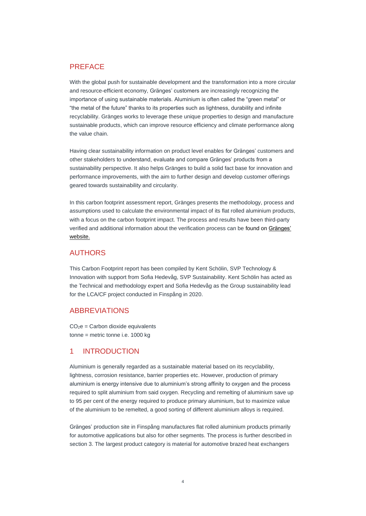#### <span id="page-3-0"></span>PREFACE

With the global push for sustainable development and the transformation into a more circular and resource-efficient economy, Gränges' customers are increasingly recognizing the importance of using sustainable materials. Aluminium is often called the "green metal" or "the metal of the future" thanks to its properties such as lightness, durability and infinite recyclability. Gränges works to leverage these unique properties to design and manufacture sustainable products, which can improve resource efficiency and climate performance along the value chain.

Having clear sustainability information on product level enables for Gränges' customers and other stakeholders to understand, evaluate and compare Gränges' products from a sustainability perspective. It also helps Gränges to build a solid fact base for innovation and performance improvements, with the aim to further design and develop customer offerings geared towards sustainability and circularity.

In this carbon footprint assessment report, Gränges presents the methodology, process and assumptions used to calculate the environmental impact of its flat rolled aluminium products, with a focus on the carbon footprint impact. The process and results have been third-party verified and additional information about the verification process can be found on [Gränges'](https://www.granges.com/sustainability/sustainable-product-offerings/)  [website.](https://www.granges.com/sustainability/sustainable-product-offerings/)

#### <span id="page-3-1"></span>**AUTHORS**

This Carbon Footprint report has been compiled by Kent Schölin, SVP Technology & Innovation with support from Sofia Hedevåg, SVP Sustainability. Kent Schölin has acted as the Technical and methodology expert and Sofia Hedevåg as the Group sustainability lead for the LCA/CF project conducted in Finspång in 2020.

#### <span id="page-3-2"></span>ABBREVIATIONS

 $CO<sub>2</sub>e =$  Carbon dioxide equivalents tonne = metric tonne i.e. 1000 kg

#### <span id="page-3-3"></span>1 INTRODUCTION

Aluminium is generally regarded as a sustainable material based on its recyclability, lightness, corrosion resistance, barrier properties etc. However, production of primary aluminium is energy intensive due to aluminium's strong affinity to oxygen and the process required to split aluminium from said oxygen. Recycling and remelting of aluminium save up to 95 per cent of the energy required to produce primary aluminium, but to maximize value of the aluminium to be remelted, a good sorting of different aluminium alloys is required.

Gränges' production site in Finspång manufactures flat rolled aluminium products primarily for automotive applications but also for other segments. The process is further described in section 3. The largest product category is material for automotive brazed heat exchangers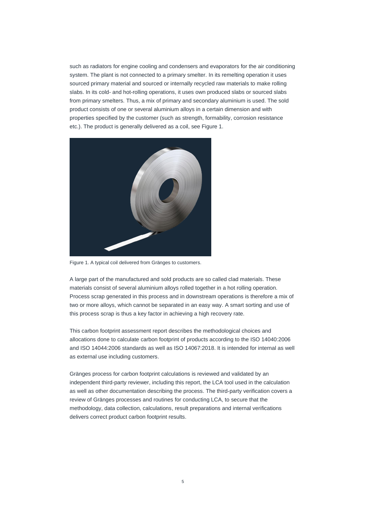such as radiators for engine cooling and condensers and evaporators for the air conditioning system. The plant is not connected to a primary smelter. In its remelting operation it uses sourced primary material and sourced or internally recycled raw materials to make rolling slabs. In its cold- and hot-rolling operations, it uses own produced slabs or sourced slabs from primary smelters. Thus, a mix of primary and secondary aluminium is used. The sold product consists of one or several aluminium alloys in a certain dimension and with properties specified by the customer (such as strength, formability, corrosion resistance etc.). The product is generally delivered as a coil, see Figure 1.



Figure 1. A typical coil delivered from Gränges to customers.

A large part of the manufactured and sold products are so called clad materials. These materials consist of several aluminium alloys rolled together in a hot rolling operation. Process scrap generated in this process and in downstream operations is therefore a mix of two or more alloys, which cannot be separated in an easy way. A smart sorting and use of this process scrap is thus a key factor in achieving a high recovery rate.

This carbon footprint assessment report describes the methodological choices and allocations done to calculate carbon footprint of products according to the ISO 14040:2006 and ISO 14044:2006 standards as well as ISO 14067:2018. It is intended for internal as well as external use including customers.

Gränges process for carbon footprint calculations is reviewed and validated by an independent third-party reviewer, including this report, the LCA tool used in the calculation as well as other documentation describing the process. The third-party verification covers a review of Gränges processes and routines for conducting LCA, to secure that the methodology, data collection, calculations, result preparations and internal verifications delivers correct product carbon footprint results.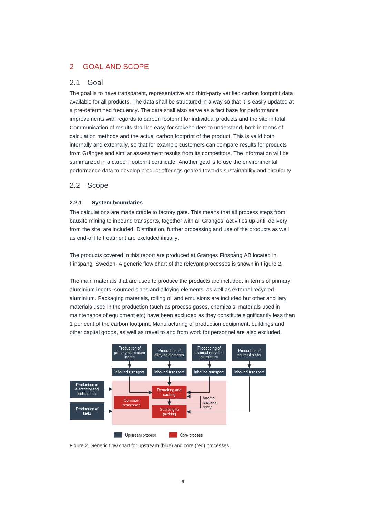# <span id="page-5-0"></span>2 GOAL AND SCOPE

#### <span id="page-5-1"></span>2.1 Goal

The goal is to have transparent, representative and third-party verified carbon footprint data available for all products. The data shall be structured in a way so that it is easily updated at a pre-determined frequency. The data shall also serve as a fact base for performance improvements with regards to carbon footprint for individual products and the site in total. Communication of results shall be easy for stakeholders to understand, both in terms of calculation methods and the actual carbon footprint of the product. This is valid both internally and externally, so that for example customers can compare results for products from Gränges and similar assessment results from its competitors. The information will be summarized in a carbon footprint certificate. Another goal is to use the environmental performance data to develop product offerings geared towards sustainability and circularity.

#### <span id="page-5-2"></span>2.2 Scope

#### <span id="page-5-3"></span>**2.2.1 System boundaries**

The calculations are made cradle to factory gate. This means that all process steps from bauxite mining to inbound transports, together with all Gränges' activities up until delivery from the site, are included. Distribution, further processing and use of the products as well as end-of life treatment are excluded initially.

The products covered in this report are produced at Gränges Finspång AB located in Finspång, Sweden. A generic flow chart of the relevant processes is shown in Figure 2.

The main materials that are used to produce the products are included, in terms of primary aluminium ingots, sourced slabs and alloying elements, as well as external recycled aluminium. Packaging materials, rolling oil and emulsions are included but other ancillary materials used in the production (such as process gases, chemicals, materials used in maintenance of equipment etc) have been excluded as they constitute significantly less than 1 per cent of the carbon footprint. Manufacturing of production equipment, buildings and other capital goods, as well as travel to and from work for personnel are also excluded.



Figure 2. Generic flow chart for upstream (blue) and core (red) processes.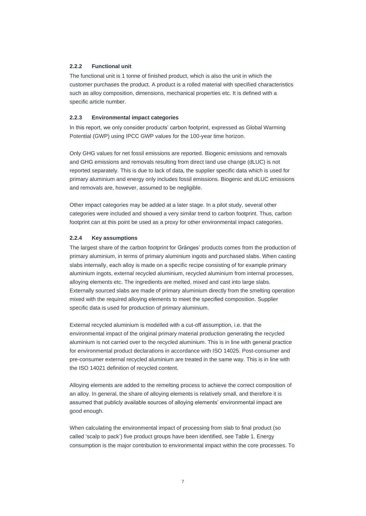#### <span id="page-6-0"></span>**2.2.2 Functional unit**

The functional unit is 1 tonne of finished product, which is also the unit in which the customer purchases the product. A product is a rolled material with specified characteristics such as alloy composition, dimensions, mechanical properties etc. It is defined with a specific article number.

#### <span id="page-6-1"></span>**2.2.3 Environmental impact categories**

In this report, we only consider products' carbon footprint, expressed as Global Warming Potential (GWP) using IPCC GWP values for the 100-year time horizon.

Only GHG values for net fossil emissions are reported. Biogenic emissions and removals and GHG emissions and removals resulting from direct land use change (dLUC) is not reported separately. This is due to lack of data, the supplier specific data which is used for primary aluminium and energy only includes fossil emissions. Biogenic and dLUC emissions and removals are, however, assumed to be negligible.

Other impact categories may be added at a later stage. In a pilot study, several other categories were included and showed a very similar trend to carbon footprint. Thus, carbon footprint can at this point be used as a proxy for other environmental impact categories.

#### <span id="page-6-2"></span>**2.2.4 Key assumptions**

The largest share of the carbon footprint for Gränges' products comes from the production of primary aluminium, in terms of primary aluminium ingots and purchased slabs. When casting slabs internally, each alloy is made on a specific recipe consisting of for example primary aluminium ingots, external recycled aluminium, recycled aluminium from internal processes, alloying elements etc. The ingredients are melted, mixed and cast into large slabs. Externally sourced slabs are made of primary aluminium directly from the smelting operation mixed with the required alloying elements to meet the specified composition. Supplier specific data is used for production of primary aluminium.

External recycled aluminium is modelled with a cut-off assumption, i.e. that the environmental impact of the original primary material production generating the recycled aluminium is not carried over to the recycled aluminium. This is in line with general practice for environmental product declarations in accordance with ISO 14025. Post-consumer and pre-consumer external recycled aluminium are treated in the same way. This is in line with the ISO 14021 definition of recycled content.

Alloying elements are added to the remelting process to achieve the correct composition of an alloy. In general, the share of alloying elements is relatively small, and therefore it is assumed that publicly available sources of alloying elements' environmental impact are good enough.

When calculating the environmental impact of processing from slab to final product (so called 'scalp to pack') five product groups have been identified, see Table 1. Energy consumption is the major contribution to environmental impact within the core processes. To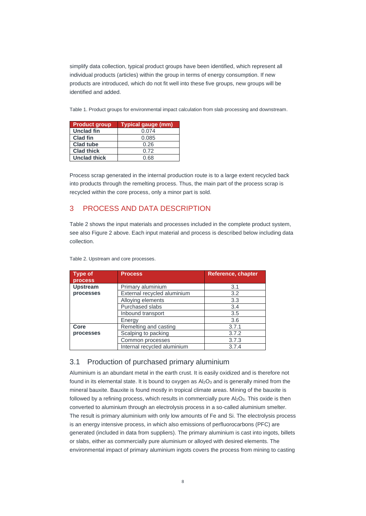simplify data collection, typical product groups have been identified, which represent all individual products (articles) within the group in terms of energy consumption. If new products are introduced, which do not fit well into these five groups, new groups will be identified and added.

Table 1. Product groups for environmental impact calculation from slab processing and downstream.

| <b>Product group</b> | <b>Typical gauge (mm)</b> |
|----------------------|---------------------------|
| <b>Unclad fin</b>    | 0.074                     |
| <b>Clad fin</b>      | 0.085                     |
| <b>Clad tube</b>     | 0.26                      |
| <b>Clad thick</b>    | 0.72                      |
| <b>Unclad thick</b>  | 0.68                      |

Process scrap generated in the internal production route is to a large extent recycled back into products through the remelting process. Thus, the main part of the process scrap is recycled within the core process, only a minor part is sold.

# <span id="page-7-0"></span>3 PROCESS AND DATA DESCRIPTION

Table 2 shows the input materials and processes included in the complete product system, see also Figure 2 above. Each input material and process is described below including data collection.

| <b>Type of</b><br>process | <b>Process</b>              | Reference, chapter |
|---------------------------|-----------------------------|--------------------|
| <b>Upstream</b>           | Primary aluminium           | 3.1                |
| processes                 | External recycled aluminium | 3.2                |
|                           | Alloying elements           | 3.3                |
|                           | <b>Purchased slabs</b>      | 3.4                |
|                           | Inbound transport           | 3.5                |
|                           | Energy                      | 3.6                |
| Core                      | Remelting and casting       | 3.7.1              |
| processes                 | Scalping to packing         | 3.7.2              |
|                           | Common processes            | 3.7.3              |
|                           | Internal recycled aluminium | 3.7.4              |

Table 2. Upstream and core processes.

# <span id="page-7-1"></span>3.1 Production of purchased primary aluminium

Aluminium is an abundant metal in the earth crust. It is easily oxidized and is therefore not found in its elemental state. It is bound to oxygen as  $A \& o_3$  and is generally mined from the mineral bauxite. Bauxite is found mostly in tropical climate areas. Mining of the bauxite is followed by a refining process, which results in commercially pure  $Al_2O_3$ . This oxide is then converted to aluminium through an electrolysis process in a so-called aluminium smelter. The result is primary aluminium with only low amounts of Fe and Si. The electrolysis process is an energy intensive process, in which also emissions of perfluorocarbons (PFC) are generated (included in data from suppliers). The primary aluminium is cast into ingots, billets or slabs, either as commercially pure aluminium or alloyed with desired elements. The environmental impact of primary aluminium ingots covers the process from mining to casting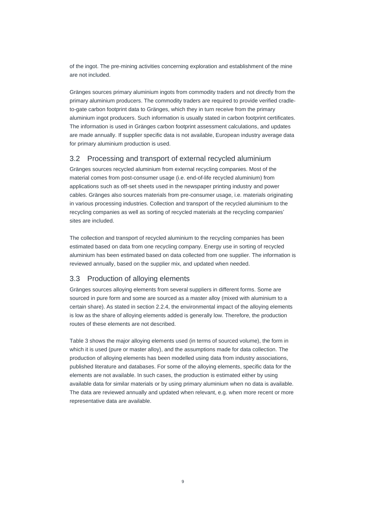of the ingot. The pre-mining activities concerning exploration and establishment of the mine are not included.

Gränges sources primary aluminium ingots from commodity traders and not directly from the primary aluminium producers. The commodity traders are required to provide verified cradleto-gate carbon footprint data to Gränges, which they in turn receive from the primary aluminium ingot producers. Such information is usually stated in carbon footprint certificates. The information is used in Gränges carbon footprint assessment calculations, and updates are made annually. If supplier specific data is not available, European industry average data for primary aluminium production is used.

# <span id="page-8-0"></span>3.2 Processing and transport of external recycled aluminium

Gränges sources recycled aluminium from external recycling companies. Most of the material comes from post-consumer usage (i.e. end-of-life recycled aluminium) from applications such as off-set sheets used in the newspaper printing industry and power cables. Gränges also sources materials from pre-consumer usage, i.e. materials originating in various processing industries. Collection and transport of the recycled aluminium to the recycling companies as well as sorting of recycled materials at the recycling companies' sites are included.

The collection and transport of recycled aluminium to the recycling companies has been estimated based on data from one recycling company. Energy use in sorting of recycled aluminium has been estimated based on data collected from one supplier. The information is reviewed annually, based on the supplier mix, and updated when needed.

# <span id="page-8-1"></span>3.3 Production of alloying elements

Gränges sources alloying elements from several suppliers in different forms. Some are sourced in pure form and some are sourced as a master alloy (mixed with aluminium to a certain share). As stated in section 2.2.4, the environmental impact of the alloying elements is low as the share of alloying elements added is generally low. Therefore, the production routes of these elements are not described.

Table 3 shows the major alloying elements used (in terms of sourced volume), the form in which it is used (pure or master alloy), and the assumptions made for data collection. The production of alloying elements has been modelled using data from industry associations, published literature and databases. For some of the alloying elements, specific data for the elements are not available. In such cases, the production is estimated either by using available data for similar materials or by using primary aluminium when no data is available. The data are reviewed annually and updated when relevant, e.g. when more recent or more representative data are available.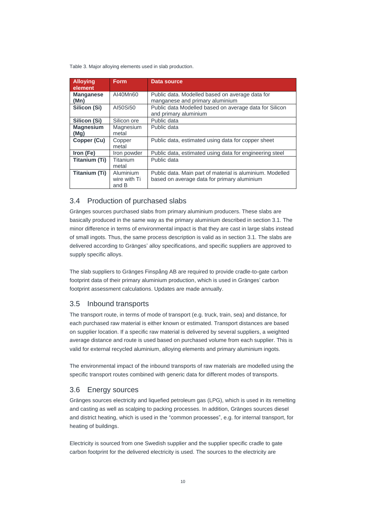Table 3. Major alloying elements used in slab production.

| <b>Alloying</b><br>element | <b>Form</b>                        | Data source                                                                                              |
|----------------------------|------------------------------------|----------------------------------------------------------------------------------------------------------|
| <b>Manganese</b><br>(Mn)   | AI40Mn60                           | Public data. Modelled based on average data for<br>manganese and primary aluminium                       |
| Silicon (Si)               | AI50Si50                           | Public data Modelled based on average data for Silicon<br>and primary aluminium                          |
| Silicon (Si)               | Silicon ore                        | Public data                                                                                              |
| <b>Magnesium</b><br>(Mq)   | Magnesium<br>metal                 | Public data                                                                                              |
| Copper (Cu)                | Copper<br>metal                    | Public data, estimated using data for copper sheet                                                       |
| Iron (Fe)                  | Iron powder                        | Public data, estimated using data for engineering steel                                                  |
| Titanium (Ti)              | <b>Titanium</b><br>metal           | Public data                                                                                              |
| Titanium (Ti)              | Aluminium<br>wire with Ti<br>and B | Public data. Main part of material is aluminium. Modelled<br>based on average data for primary aluminium |

# <span id="page-9-0"></span>3.4 Production of purchased slabs

Gränges sources purchased slabs from primary aluminium producers. These slabs are basically produced in the same way as the primary aluminium described in section 3.1. The minor difference in terms of environmental impact is that they are cast in large slabs instead of small ingots. Thus, the same process description is valid as in section 3.1. The slabs are delivered according to Gränges' alloy specifications, and specific suppliers are approved to supply specific alloys.

The slab suppliers to Gränges Finspång AB are required to provide cradle-to-gate carbon footprint data of their primary aluminium production, which is used in Gränges' carbon footprint assessment calculations. Updates are made annually.

# <span id="page-9-1"></span>3.5 Inbound transports

The transport route, in terms of mode of transport (e.g. truck, train, sea) and distance, for each purchased raw material is either known or estimated. Transport distances are based on supplier location. If a specific raw material is delivered by several suppliers, a weighted average distance and route is used based on purchased volume from each supplier. This is valid for external recycled aluminium, alloying elements and primary aluminium ingots.

The environmental impact of the inbound transports of raw materials are modelled using the specific transport routes combined with generic data for different modes of transports.

#### <span id="page-9-2"></span>3.6 Energy sources

Gränges sources electricity and liquefied petroleum gas (LPG), which is used in its remelting and casting as well as scalping to packing processes. In addition, Gränges sources diesel and district heating, which is used in the "common processes", e.g. for internal transport, for heating of buildings.

Electricity is sourced from one Swedish supplier and the supplier specific cradle to gate carbon footprint for the delivered electricity is used. The sources to the electricity are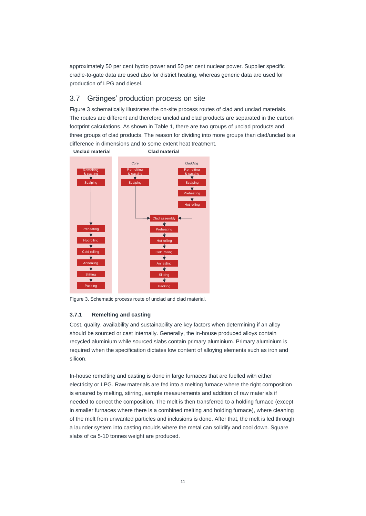approximately 50 per cent hydro power and 50 per cent nuclear power. Supplier specific cradle-to-gate data are used also for district heating, whereas generic data are used for production of LPG and diesel.

# <span id="page-10-0"></span>3.7 Gränges' production process on site

Figure 3 schematically illustrates the on-site process routes of clad and unclad materials. The routes are different and therefore unclad and clad products are separated in the carbon footprint calculations. As shown in Table 1, there are two groups of unclad products and three groups of clad products. The reason for dividing into more groups than clad/unclad is a difference in dimensions and to some extent heat treatment.



<span id="page-10-1"></span>Figure 3. Schematic process route of unclad and clad material.

#### **3.7.1 Remelting and casting**

Cost, quality, availability and sustainability are key factors when determining if an alloy should be sourced or cast internally. Generally, the in-house produced alloys contain recycled aluminium while sourced slabs contain primary aluminium. Primary aluminium is required when the specification dictates low content of alloying elements such as iron and silicon.

In-house remelting and casting is done in large furnaces that are fuelled with either electricity or LPG. Raw materials are fed into a melting furnace where the right composition is ensured by melting, stirring, sample measurements and addition of raw materials if needed to correct the composition. The melt is then transferred to a holding furnace (except in smaller furnaces where there is a combined melting and holding furnace), where cleaning of the melt from unwanted particles and inclusions is done. After that, the melt is led through a launder system into casting moulds where the metal can solidify and cool down. Square slabs of ca 5-10 tonnes weight are produced.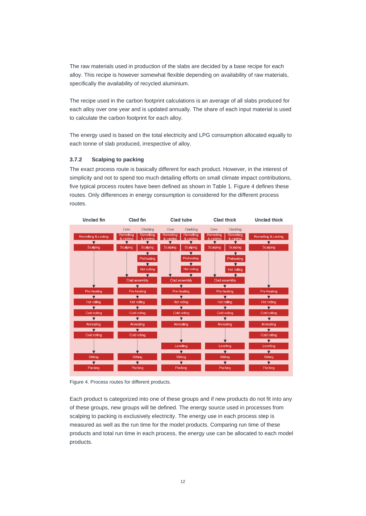The raw materials used in production of the slabs are decided by a base recipe for each alloy. This recipe is however somewhat flexible depending on availability of raw materials, specifically the availability of recycled aluminium.

The recipe used in the carbon footprint calculations is an average of all slabs produced for each alloy over one year and is updated annually. The share of each input material is used to calculate the carbon footprint for each alloy.

The energy used is based on the total electricity and LPG consumption allocated equally to each tonne of slab produced, irrespective of alloy.

#### <span id="page-11-0"></span>**3.7.2 Scalping to packing**

The exact process route is basically different for each product. However, in the interest of simplicity and not to spend too much detailing efforts on small climate impact contributions, five typical process routes have been defined as shown in Table 1. Figure 4 defines these routes. Only differences in energy consumption is considered for the different process routes.



Figure 4. Process routes for different products.

Each product is categorized into one of these groups and if new products do not fit into any of these groups, new groups will be defined. The energy source used in processes from scalping to packing is exclusively electricity. The energy use in each process step is measured as well as the run time for the model products. Comparing run time of these products and total run time in each process, the energy use can be allocated to each model products.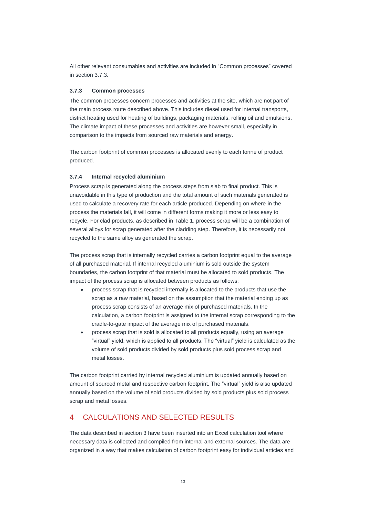All other relevant consumables and activities are included in "Common processes" covered in section 3.7.3.

#### <span id="page-12-0"></span>**3.7.3 Common processes**

The common processes concern processes and activities at the site, which are not part of the main process route described above. This includes diesel used for internal transports, district heating used for heating of buildings, packaging materials, rolling oil and emulsions. The climate impact of these processes and activities are however small, especially in comparison to the impacts from sourced raw materials and energy.

The carbon footprint of common processes is allocated evenly to each tonne of product produced.

#### <span id="page-12-1"></span>**3.7.4 Internal recycled aluminium**

Process scrap is generated along the process steps from slab to final product. This is unavoidable in this type of production and the total amount of such materials generated is used to calculate a recovery rate for each article produced. Depending on where in the process the materials fall, it will come in different forms making it more or less easy to recycle. For clad products, as described in Table 1, process scrap will be a combination of several alloys for scrap generated after the cladding step. Therefore, it is necessarily not recycled to the same alloy as generated the scrap.

The process scrap that is internally recycled carries a carbon footprint equal to the average of all purchased material. If internal recycled aluminium is sold outside the system boundaries, the carbon footprint of that material must be allocated to sold products. The impact of the process scrap is allocated between products as follows:

- process scrap that is recycled internally is allocated to the products that use the scrap as a raw material, based on the assumption that the material ending up as process scrap consists of an average mix of purchased materials. In the calculation, a carbon footprint is assigned to the internal scrap corresponding to the cradle-to-gate impact of the average mix of purchased materials.
- process scrap that is sold is allocated to all products equally, using an average "virtual" yield, which is applied to all products. The "virtual" yield is calculated as the volume of sold products divided by sold products plus sold process scrap and metal losses.

The carbon footprint carried by internal recycled aluminium is updated annually based on amount of sourced metal and respective carbon footprint. The "virtual" yield is also updated annually based on the volume of sold products divided by sold products plus sold process scrap and metal losses.

# <span id="page-12-2"></span>4 CALCULATIONS AND SELECTED RESULTS

The data described in section 3 have been inserted into an Excel calculation tool where necessary data is collected and compiled from internal and external sources. The data are organized in a way that makes calculation of carbon footprint easy for individual articles and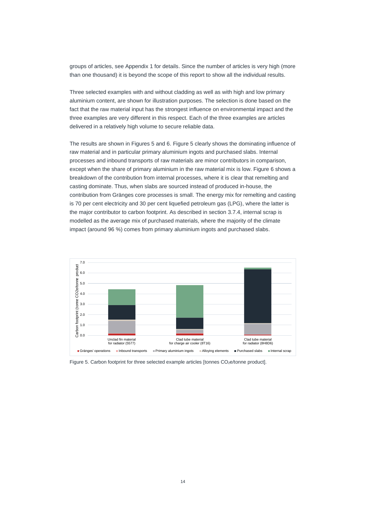groups of articles, see Appendix 1 for details. Since the number of articles is very high (more than one thousand) it is beyond the scope of this report to show all the individual results.

Three selected examples with and without cladding as well as with high and low primary aluminium content, are shown for illustration purposes. The selection is done based on the fact that the raw material input has the strongest influence on environmental impact and the three examples are very different in this respect. Each of the three examples are articles delivered in a relatively high volume to secure reliable data.

The results are shown in Figures 5 and 6. Figure 5 clearly shows the dominating influence of raw material and in particular primary aluminium ingots and purchased slabs. Internal processes and inbound transports of raw materials are minor contributors in comparison, except when the share of primary aluminium in the raw material mix is low. Figure 6 shows a breakdown of the contribution from internal processes, where it is clear that remelting and casting dominate. Thus, when slabs are sourced instead of produced in-house, the contribution from Gränges core processes is small. The energy mix for remelting and casting is 70 per cent electricity and 30 per cent liquefied petroleum gas (LPG), where the latter is the major contributor to carbon footprint. As described in section [3.7.4,](#page-12-1) internal scrap is modelled as the average mix of purchased materials, where the majority of the climate impact (around 96 %) comes from primary aluminium ingots and purchased slabs.



Figure 5. Carbon footprint for three selected example articles [tonnes CO<sub>2</sub>e/tonne product].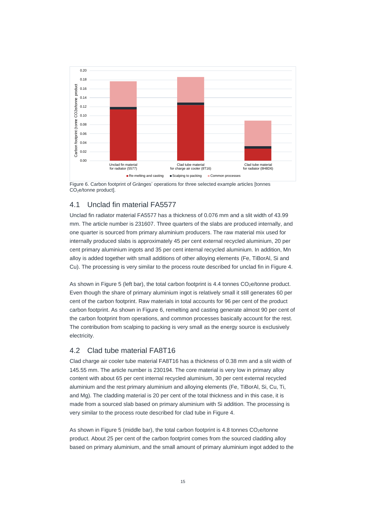

Figure 6. Carbon footprint of Gränges' operations for three selected example articles [tonnes  $CO<sub>2</sub>e/tonne product$ ].

# <span id="page-14-0"></span>4.1 Unclad fin material FA5577

Unclad fin radiator material FA5577 has a thickness of 0.076 mm and a slit width of 43.99 mm. The article number is 231607. Three quarters of the slabs are produced internally, and one quarter is sourced from primary aluminium producers. The raw material mix used for internally produced slabs is approximately 45 per cent external recycled aluminium, 20 per cent primary aluminium ingots and 35 per cent internal recycled aluminium. In addition, Mn alloy is added together with small additions of other alloying elements (Fe, TiBorAl, Si and Cu). The processing is very similar to the process route described for unclad fin in Figure 4.

As shown in Figure 5 (left bar), the total carbon footprint is  $4.4$  tonnes  $CO<sub>2</sub>e/tonne product.$ Even though the share of primary aluminium ingot is relatively small it still generates 60 per cent of the carbon footprint. Raw materials in total accounts for 96 per cent of the product carbon footprint. As shown in Figure 6, remelting and casting generate almost 90 per cent of the carbon footprint from operations, and common processes basically account for the rest. The contribution from scalping to packing is very small as the energy source is exclusively electricity.

# <span id="page-14-1"></span>4.2 Clad tube material FA8T16

Clad charge air cooler tube material FA8T16 has a thickness of 0.38 mm and a slit width of 145.55 mm. The article number is 230194. The core material is very low in primary alloy content with about 65 per cent internal recycled aluminium, 30 per cent external recycled aluminium and the rest primary aluminium and alloying elements (Fe, TiBorAl, Si, Cu, Ti, and Mg). The cladding material is 20 per cent of the total thickness and in this case, it is made from a sourced slab based on primary aluminium with Si addition. The processing is very similar to the process route described for clad tube in Figure 4.

As shown in Figure 5 (middle bar), the total carbon footprint is  $4.8$  tonnes  $CO<sub>2</sub>e/tonne$ product. About 25 per cent of the carbon footprint comes from the sourced cladding alloy based on primary aluminium, and the small amount of primary aluminium ingot added to the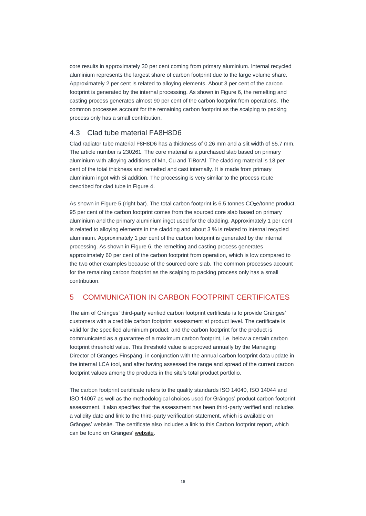core results in approximately 30 per cent coming from primary aluminium. Internal recycled aluminium represents the largest share of carbon footprint due to the large volume share. Approximately 2 per cent is related to alloying elements. About 3 per cent of the carbon footprint is generated by the internal processing. As shown in Figure 6, the remelting and casting process generates almost 90 per cent of the carbon footprint from operations. The common processes account for the remaining carbon footprint as the scalping to packing process only has a small contribution.

# <span id="page-15-0"></span>4.3 Clad tube material FA8H8D6

Clad radiator tube material F8H8D6 has a thickness of 0.26 mm and a slit width of 55.7 mm. The article number is 230261. The core material is a purchased slab based on primary aluminium with alloying additions of Mn, Cu and TiBorAl. The cladding material is 18 per cent of the total thickness and remelted and cast internally. It is made from primary aluminium ingot with Si addition. The processing is very similar to the process route described for clad tube in Figure 4.

As shown in Figure 5 (right bar). The total carbon footprint is 6.5 tonnes CO<sub>2</sub>e/tonne product. 95 per cent of the carbon footprint comes from the sourced core slab based on primary aluminium and the primary aluminium ingot used for the cladding. Approximately 1 per cent is related to alloying elements in the cladding and about 3 % is related to internal recycled aluminium. Approximately 1 per cent of the carbon footprint is generated by the internal processing. As shown in Figure 6, the remelting and casting process generates approximately 60 per cent of the carbon footprint from operation, which is low compared to the two other examples because of the sourced core slab. The common processes account for the remaining carbon footprint as the scalping to packing process only has a small contribution.

# <span id="page-15-1"></span>5 COMMUNICATION IN CARBON FOOTPRINT CERTIFICATES

The aim of Gränges' third-party verified carbon footprint certificate is to provide Gränges' customers with a credible carbon footprint assessment at product level. The certificate is valid for the specified aluminium product, and the carbon footprint for the product is communicated as a guarantee of a maximum carbon footprint, i.e. below a certain carbon footprint threshold value. This threshold value is approved annually by the Managing Director of Gränges Finspång, in conjunction with the annual carbon footprint data update in the internal LCA tool, and after having assessed the range and spread of the current carbon footprint values among the products in the site's total product portfolio.

The carbon footprint certificate refers to the quality standards ISO 14040, ISO 14044 and ISO 14067 as well as the methodological choices used for Gränges' product carbon footprint assessment. It also specifies that the assessment has been third-party verified and includes a validity date and link to the third-party verification statement, which is available on Gränges' [website.](https://www.granges.com/sustainability/sustainable-product-offerings/) The certificate also includes a link to this Carbon footprint report, which can be found on Gränges' [website.](http://www.granges.com/sustainability/sustainable-product-offerings/)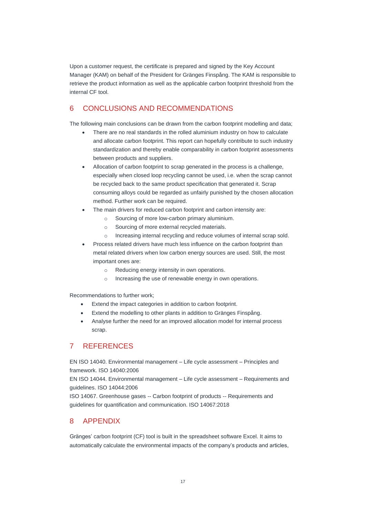Upon a customer request, the certificate is prepared and signed by the Key Account Manager (KAM) on behalf of the President for Gränges Finspång. The KAM is responsible to retrieve the product information as well as the applicable carbon footprint threshold from the internal CF tool.

# <span id="page-16-0"></span>6 CONCLUSIONS AND RECOMMENDATIONS

The following main conclusions can be drawn from the carbon footprint modelling and data;

- There are no real standards in the rolled aluminium industry on how to calculate and allocate carbon footprint. This report can hopefully contribute to such industry standardization and thereby enable comparability in carbon footprint assessments between products and suppliers.
- Allocation of carbon footprint to scrap generated in the process is a challenge, especially when closed loop recycling cannot be used, i.e. when the scrap cannot be recycled back to the same product specification that generated it. Scrap consuming alloys could be regarded as unfairly punished by the chosen allocation method. Further work can be required.
- The main drivers for reduced carbon footprint and carbon intensity are:
	- o Sourcing of more low-carbon primary aluminium.
	- o Sourcing of more external recycled materials.
	- o Increasing internal recycling and reduce volumes of internal scrap sold.
- Process related drivers have much less influence on the carbon footprint than metal related drivers when low carbon energy sources are used. Still, the most important ones are:
	- o Reducing energy intensity in own operations.
	- o Increasing the use of renewable energy in own operations.

Recommendations to further work;

- Extend the impact categories in addition to carbon footprint.
- Extend the modelling to other plants in addition to Gränges Finspång.
- Analyse further the need for an improved allocation model for internal process scrap.

# <span id="page-16-1"></span>7 REFERENCES

EN ISO 14040. Environmental management – Life cycle assessment – Principles and framework. ISO 14040:2006

EN ISO 14044. Environmental management – Life cycle assessment – Requirements and guidelines. ISO 14044:2006

ISO 14067. Greenhouse gases -- Carbon footprint of products -- Requirements and guidelines for quantification and communication. ISO 14067:2018

# <span id="page-16-2"></span>8 APPENDIX

Gränges' carbon footprint (CF) tool is built in the spreadsheet software Excel. It aims to automatically calculate the environmental impacts of the company's products and articles,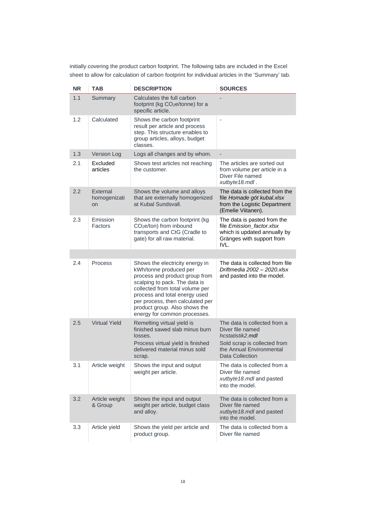initially covering the product carbon footprint. The following tabs are included in the Excel sheet to allow for calculation of carbon footprint for individual articles in the 'Summary' tab.

| <b>NR</b> | TAB                            | <b>DESCRIPTION</b>                                                                                                                                                                                                                                                                                    | <b>SOURCES</b>                                                                                                                                      |
|-----------|--------------------------------|-------------------------------------------------------------------------------------------------------------------------------------------------------------------------------------------------------------------------------------------------------------------------------------------------------|-----------------------------------------------------------------------------------------------------------------------------------------------------|
| 1.1       | Summary                        | Calculates the full carbon<br>footprint (kg CO <sub>2</sub> e/tonne) for a<br>specific article.                                                                                                                                                                                                       |                                                                                                                                                     |
| 1.2       | Calculated                     | Shows the carbon footprint<br>result per article and process<br>step. This structure enables to<br>group articles, alloys, budget<br>classes.                                                                                                                                                         |                                                                                                                                                     |
| 1.3       | <b>Version Log</b>             | Logs all changes and by whom.                                                                                                                                                                                                                                                                         |                                                                                                                                                     |
| 2.1       | Excluded<br>articles           | Shows test articles not reaching<br>the customer.                                                                                                                                                                                                                                                     | The articles are sorted out<br>from volume per article in a<br>Diver File named<br>xutbyte18.mdl.                                                   |
| 2.2       | External<br>homogenizati<br>on | Shows the volume and alloys<br>that are externally homogenized<br>at Kubal Sundsvall.                                                                                                                                                                                                                 | The data is collected from the<br>file Homade göt kubal.xlsx<br>from the Logistic Department<br>(Emelie Viitanen).                                  |
| 2.3       | Emission<br>Factors            | Shows the carbon footprint (kg)<br>CO <sub>2</sub> e/ton) from inbound<br>transports and CtG (Cradle to<br>gate) for all raw material.                                                                                                                                                                | The data is pasted from the<br>file Emission_factor.xlsx<br>which is updated annually by<br>Gränges with support from<br>IVL.                       |
|           |                                |                                                                                                                                                                                                                                                                                                       |                                                                                                                                                     |
| 2.4       | Process                        | Shows the electricity energy in<br>kWh/tonne produced per<br>process and product group from<br>scalping to pack. The data is<br>collected from total volume per<br>process and total energy used<br>per process, then calculated per<br>product group. Also shows the<br>energy for common processes. | The data is collected from file<br>Driftmedia 2002 - 2020.xlsx<br>and pasted into the model.                                                        |
| 2.5       | <b>Virtual Yield</b>           | Remelting virtual yield is<br>finished sawed slab minus burn<br>losses.<br>Process virtual yield is finished<br>delivered material minus sold<br>scrap.                                                                                                                                               | The data is collected from a<br>Diver file named<br>hcstatistik2.mdl<br>Sold scrap is collected from<br>the Annual Environmental<br>Data Collection |
| 3.1       | Article weight                 | Shows the input and output<br>weight per article.                                                                                                                                                                                                                                                     | The data is collected from a<br>Diver file named<br>xutbyte18.mdl and pasted<br>into the model.                                                     |
| 3.2       | Article weight<br>& Group      | Shows the input and output<br>weight per article, budget class<br>and alloy.                                                                                                                                                                                                                          | The data is collected from a<br>Diver file named<br>xutbyte18.mdl and pasted<br>into the model.                                                     |
| 3.3       | Article yield                  | Shows the yield per article and<br>product group.                                                                                                                                                                                                                                                     | The data is collected from a<br>Diver file named                                                                                                    |